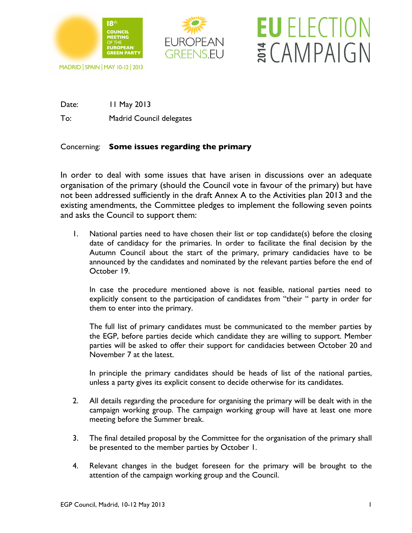



**EU ELECTION** 

ECAMPAIGN

## MADRID | SPAIN | MAY 10-12 | 2013

Date: 11 May 2013

To: Madrid Council delegates

## Concerning: **Some issues regarding the primary**

In order to deal with some issues that have arisen in discussions over an adequate organisation of the primary (should the Council vote in favour of the primary) but have not been addressed sufficiently in the draft Annex A to the Activities plan 2013 and the existing amendments, the Committee pledges to implement the following seven points and asks the Council to support them:

1. National parties need to have chosen their list or top candidate(s) before the closing date of candidacy for the primaries. In order to facilitate the final decision by the Autumn Council about the start of the primary, primary candidacies have to be announced by the candidates and nominated by the relevant parties before the end of October 19.

In case the procedure mentioned above is not feasible, national parties need to explicitly consent to the participation of candidates from "their " party in order for them to enter into the primary.

The full list of primary candidates must be communicated to the member parties by the EGP, before parties decide which candidate they are willing to support. Member parties will be asked to offer their support for candidacies between October 20 and November 7 at the latest.

In principle the primary candidates should be heads of list of the national parties, unless a party gives its explicit consent to decide otherwise for its candidates.

- 2. All details regarding the procedure for organising the primary will be dealt with in the campaign working group. The campaign working group will have at least one more meeting before the Summer break.
- 3. The final detailed proposal by the Committee for the organisation of the primary shall be presented to the member parties by October 1.
- 4. Relevant changes in the budget foreseen for the primary will be brought to the attention of the campaign working group and the Council.